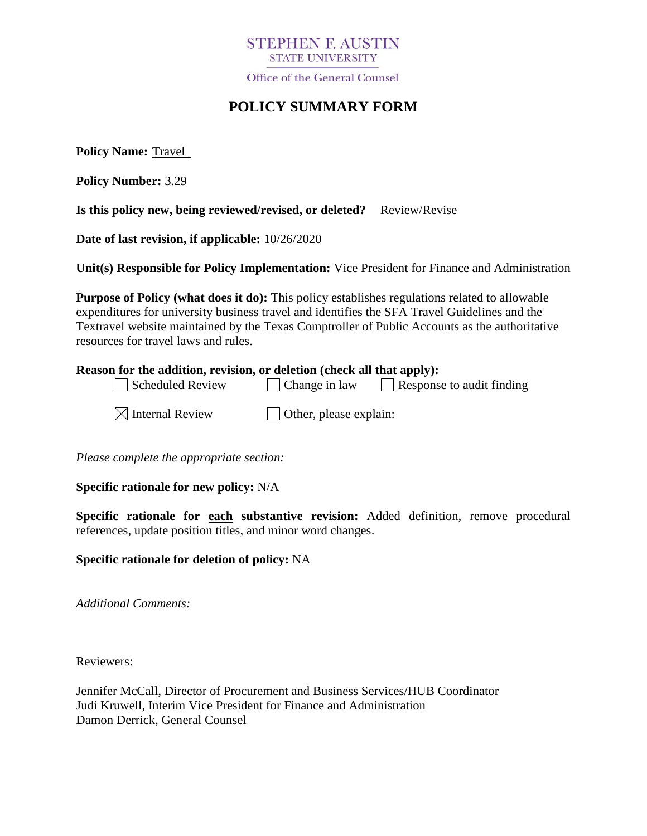

Office of the General Counsel

# **POLICY SUMMARY FORM**

**Policy Name:** Travel

**Policy Number:** 3.29

**Is this policy new, being reviewed/revised, or deleted?** Review/Revise

**Date of last revision, if applicable:** 10/26/2020

**Unit(s) Responsible for Policy Implementation:** Vice President for Finance and Administration

**Purpose of Policy (what does it do):** This policy establishes regulations related to allowable expenditures for university business travel and identifies the SFA Travel Guidelines and the Textravel website maintained by the Texas Comptroller of Public Accounts as the authoritative resources for travel laws and rules.

|  |  |                                                                                                                                                                                                                                            |                                                                                                                                                                                                                                            |  | Reason for the addition, revision, or deletion (check all that apply): |  |
|--|--|--------------------------------------------------------------------------------------------------------------------------------------------------------------------------------------------------------------------------------------------|--------------------------------------------------------------------------------------------------------------------------------------------------------------------------------------------------------------------------------------------|--|------------------------------------------------------------------------|--|
|  |  | $\overline{\phantom{a}}$ . The contract of the contract of the contract of the contract of the contract of the contract of the contract of the contract of the contract of the contract of the contract of the contract of the contract of | $\overline{\phantom{a}}$ . The contract of the contract of the contract of the contract of the contract of the contract of the contract of the contract of the contract of the contract of the contract of the contract of the contract of |  |                                                                        |  |

 $\Box$  Scheduled Review  $\Box$  Change in law  $\Box$  Response to audit finding

 $\Box$  Other, please explain:

*Please complete the appropriate section:*

**Specific rationale for new policy:** N/A

**Specific rationale for each substantive revision:** Added definition, remove procedural references, update position titles, and minor word changes.

### **Specific rationale for deletion of policy:** NA

*Additional Comments:*

Reviewers:

Jennifer McCall, Director of Procurement and Business Services/HUB Coordinator Judi Kruwell, Interim Vice President for Finance and Administration Damon Derrick, General Counsel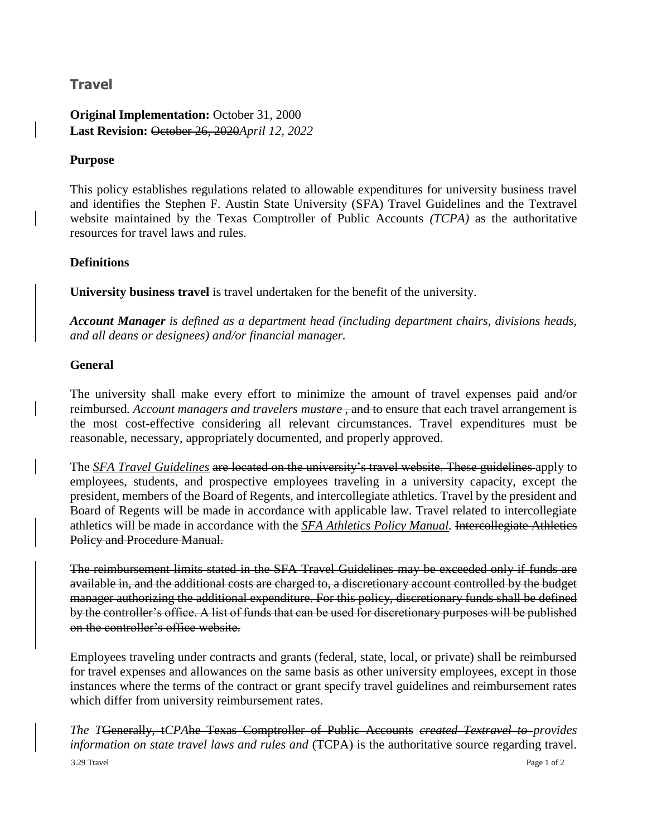## **Travel**

**Original Implementation:** October 31, 2000 **Last Revision:** October 26, 2020*April 12, 2022*

#### **Purpose**

This policy establishes regulations related to allowable expenditures for university business travel and identifies the Stephen F. Austin State University (SFA) Travel Guidelines and the Textravel website maintained by the Texas Comptroller of Public Accounts *(TCPA)* as the authoritative resources for travel laws and rules.

#### **Definitions**

**University business travel** is travel undertaken for the benefit of the university.

*Account Manager is defined as a department head (including department chairs, divisions heads, and all deans or designees) and/or financial manager.* 

#### **General**

The university shall make every effort to minimize the amount of travel expenses paid and/or reimbursed. Account managers and travelers mustare, and to ensure that each travel arrangement is the most cost-effective considering all relevant circumstances. Travel expenditures must be reasonable, necessary, appropriately documented, and properly approved.

The *[SFA Travel Guidelines](https://www.sfasu.edu/controller/travel/docs/travel-guidelines-for-the-travel-and-expense-module-march2021.pdf)* are located on the university's travel website. These guidelines apply to employees, students, and prospective employees traveling in a university capacity, except the president, members of the Board of Regents, and intercollegiate athletics. Travel by the president and Board of Regents will be made in accordance with applicable law. Travel related to intercollegiate athletics will be made in accordance with the *[SFA Athletics Policy Manual.](https://sfajacks.com/documents/2019/10/15/SFA_Athletics_Policy_Manual_2019_20v_2.pdf)* Intercollegiate Athletics Policy and Procedure Manual.

The reimbursement limits stated in the SFA Travel Guidelines may be exceeded only if funds are available in, and the additional costs are charged to, a discretionary account controlled by the budget manager authorizing the additional expenditure. For this policy, discretionary funds shall be defined by the controller's office. A list of funds that can be used for discretionary purposes will be published on the controller's office website.

Employees traveling under contracts and grants (federal, state, local, or private) shall be reimbursed for travel expenses and allowances on the same basis as other university employees, except in those instances where the terms of the contract or grant specify travel guidelines and reimbursement rates which differ from university reimbursement rates.

3.29 Travel Page 1 of 2 *The T*Generally, t*CPA*he Texas Comptroller of Public Accounts *created Textravel to provides information on state travel laws and rules and* (TCPA) is the authoritative source regarding travel.